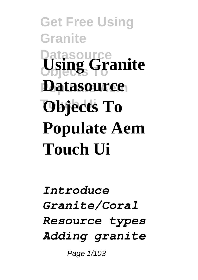**Get Free Using Granite Datasource Using Granite Datasource Objects To Populate Aem Touch Ui**

*Introduce Granite/Coral Resource types Adding granite* Page  $1/103$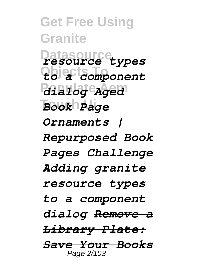**Get Free Using Granite Datasource** *resource types* **Objects To** *to a component* **Populate Aem** *dialog Aged* **Touch Ui** *Book Page Ornaments | Repurposed Book Pages Challenge Adding granite resource types to a component dialog Remove a Library Plate: Save Your Books* Page 2/103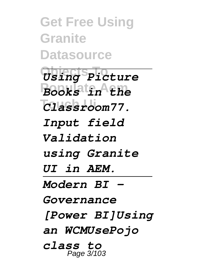**Get Free Using Granite Datasource Objects To** *Using Picture* **Populate Aem** *Books in the* **Touch Ui** *Classroom77. Input field Validation using Granite UI in AEM. Modern BI - Governance [Power BI]Using an WCMUsePojo class to* Page 3/103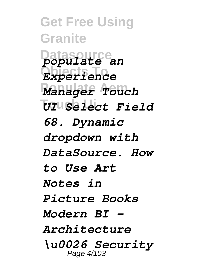**Get Free Using Granite Datasource** *populate an* **Objects To** *Experience* **Populate Aem** *Manager Touch* **Touch Ui** *UI Select Field 68. Dynamic dropdown with DataSource. How to Use Art Notes in Picture Books Modern BI - Architecture \u0026 Security* Page 4/103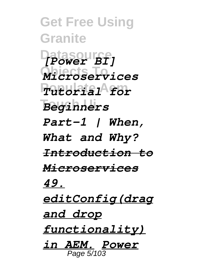**Get Free Using Granite Datasource** *[Power BI]* **Objects To** *Microservices* **Populate Aem** *Tutorial for* **Touch Ui** *Beginners Part-1 | When, What and Why? Introduction to Microservices 49. editConfig(drag and drop functionality) in AEM. Power* Page 5/103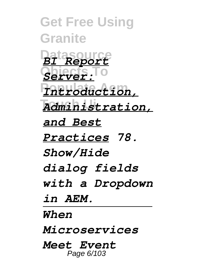**Get Free Using Granite Datasource** *BI Report* **Objects To** *Server:* **Populate Aem** *Introduction,* **Touch Ui** *Administration, and Best Practices 78. Show/Hide dialog fields with a Dropdown in AEM. When Microservices Meet Event* Page 6/103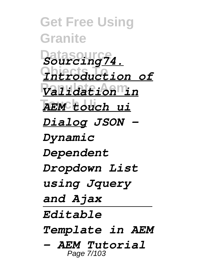**Get Free Using Granite Datasource** *Sourcing74.* **Objects To** *Introduction of* **Populate Aem** *Validation in* **Touch Ui** *AEM touch ui Dialog JSON - Dynamic Dependent Dropdown List using Jquery and Ajax Editable Template in AEM - AEM Tutorial* Page 7/103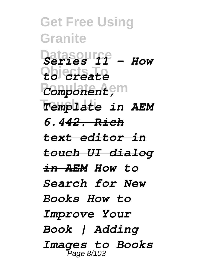**Get Free Using Granite Datasourff - How Objects To** *to create <u>Component,</u>*m **Touch Ui** *Template in AEM 6.442. Rich text editor in touch UI dialog in AEM How to Search for New Books How to Improve Your Book | Adding Images to Books* Page 8/103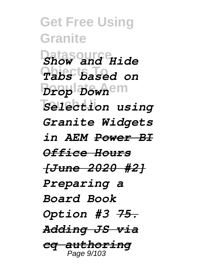**Get Free Using Granite** *Show and Hide* **Objects To** *Tabs based on* **Populate Aem** *Drop Down* **Touch Ui** *Selection using Granite Widgets in AEM Power BI Office Hours [June 2020 #2] Preparing a Board Book Option #3 75. Adding JS via cq authoring* Page 9/103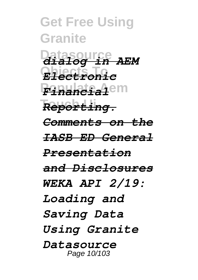**Get Free Using Granite Datasource** *dialog in AEM* **Objects To** *Electronic* **Populate Aem** *Financial* **Touch Ui** *Reporting. Comments on the IASB ED General Presentation and Disclosures WEKA API 2/19: Loading and Saving Data Using Granite Datasource* Page 10/103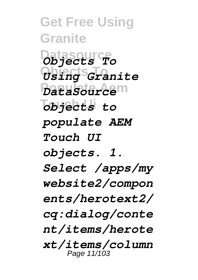**Get Free Using Granite Datasource** *Objects To* **Objects To** *Using Granite* **Populate Aem** *DataSource* **Touch Ui** *objects to populate AEM Touch UI objects. 1. Select /apps/my website2/compon ents/herotext2/ cq:dialog/conte nt/items/herote xt/items/column* Page 11/103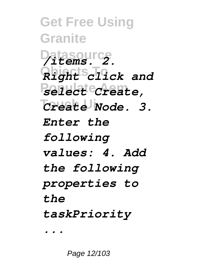**Get Free Using Granite Datasource** */items. 2.* **Objects To** *Right click and* **Populate Aem** *select Create,*  $Create *Node*$ . 3. *Enter the following values: 4. Add the following properties to the taskPriority ...*

Page 12/103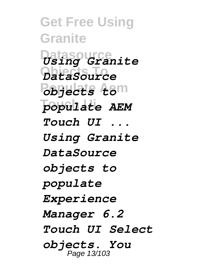**Get Free Using Granite Datasource** *Using Granite* **Objects To** *DataSource* **Populate Aem** *objects to*  $\overline{p}$ *opulate AEM Touch UI ... Using Granite DataSource objects to populate Experience Manager 6.2 Touch UI Select objects. You* Page 13/103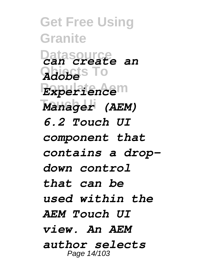**Get Free Using Granite Datasource** *can create an* **Objects To** *Adobe* **Populate Aem** *Experience* **Touch Ui** *Manager (AEM) 6.2 Touch UI component that contains a dropdown control that can be used within the AEM Touch UI view. An AEM author selects* Page 14/103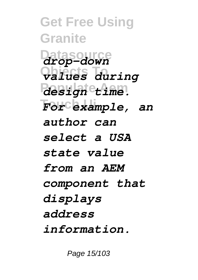**Get Free Using Granite Datasource** *drop-down* **Objects To** *values during* **Populate Aem** *design time.* **Touch Ui** *For example, an author can select a USA state value from an AEM component that displays address information.*

Page 15/103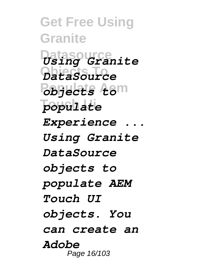**Get Free Using Granite Datasource** *Using Granite* **Objects To** *DataSource* **Populate Aem** *objects to* populate *Experience ... Using Granite DataSource objects to populate AEM Touch UI objects. You can create an Adobe* Page 16/103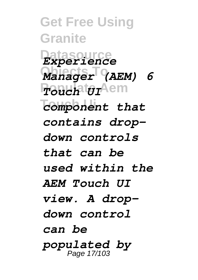**Get Free Using Granite Datasource** *Experience* **Objects To** *Manager (AEM) 6* **Populate Aem** *Touch UI* **Touch Ui** *component that contains dropdown controls that can be used within the AEM Touch UI view. A dropdown control can be populated by* Page 17/103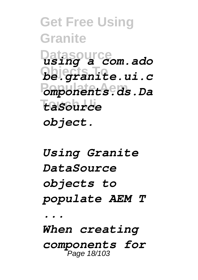**Get Free Using Granite Datasource** *using a com.ado* **Objects To** *be.granite.ui.c* **Populate Aem** *omponents.ds.Da* **Touch Ui** *taSource object.*

*Using Granite DataSource objects to populate AEM T ... When creating components for* Page 18/103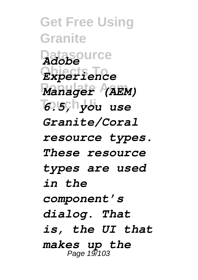**Get Free Using Granite Datasource** *Adobe* **Objects To** *Experience* **Populate Aem** *Manager (AEM)* **Touch Ui** *6.5, you use Granite/Coral resource types. These resource types are used in the component's dialog. That is, the UI that makes up the* Page 19/103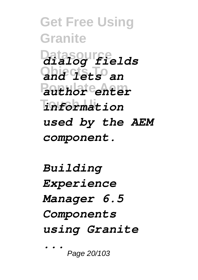**Get Free Using Granite Datasource** *dialog fields* **Objects To** *and lets an* **Populate Aem** *author enter* **Touch Ui** *information used by the AEM component.*

*Building Experience Manager 6.5 Components using Granite ...*

Page 20/103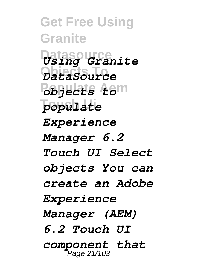**Get Free Using Granite Datasource** *Using Granite* **Objects To** *DataSource* **Populate Aem** *objects to* populate *Experience Manager 6.2 Touch UI Select objects You can create an Adobe Experience Manager (AEM) 6.2 Touch UI component that* Page 21/103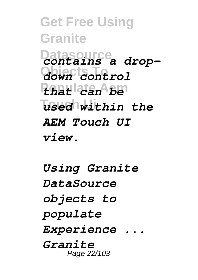**Get Free Using Granite Datasource** *contains a drop-***Objects To** *down control* **Populate Aem** *that can be*  $\sqrt{\text{u}}$ sed within the *AEM Touch UI view.*

*Using Granite DataSource objects to populate Experience ... Granite* Page 22/103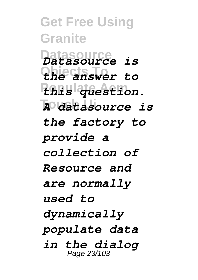**Get Free Using Granite Datasource** *Datasource is* **Objects To** *the answer to* **Populate Aem** *this question.* **Touch Ui** *A datasource is the factory to provide a collection of Resource and are normally used to dynamically populate data in the dialog* Page 23/103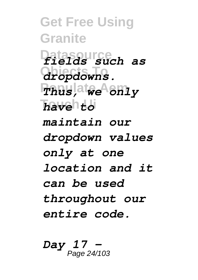**Get Free Using Granite Datasource** *fields such as*  $dropdowns.$ **Populate Aem** *Thus, we only* **Touch Ui** *have to maintain our dropdown values only at one location and it can be used throughout our entire code.*

*Day 17 -* Page 24/103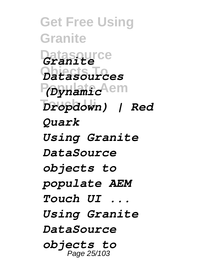**Get Free Using Granite Datasource** *Granite* **Objects To** *Datasources* P<sub>(Dynamic</sub>Aem  $Dropdown)$  | Red *Quark Using Granite DataSource objects to populate AEM Touch UI ... Using Granite DataSource objects to* Page 25/103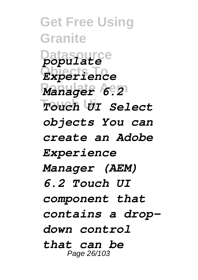**Get Free Using Granite Datasource** *populate* **Objects To** *Experience Manager 6.21* **Touch Ui** *Touch UI Select objects You can create an Adobe Experience Manager (AEM) 6.2 Touch UI component that contains a dropdown control that can be* Page 26/103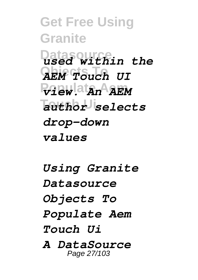**Get Free Using Granite Datasource** *used within the* **Objects To** *AEM Touch UI* **Populate Aem** *view. An AEM* **Touch Ui** *author selects drop-down values*

*Using Granite Datasource Objects To Populate Aem Touch Ui A DataSource*

Page 27/103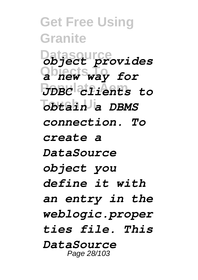**Get Free Using Granite Datasource** *object provides* **Objects To** *a new way for* **Populate Aem** *JDBC clients to*  $\overline{obt}$ ain a DBMS *connection. To create a DataSource object you define it with an entry in the weblogic.proper ties file. This DataSource* Page 28/103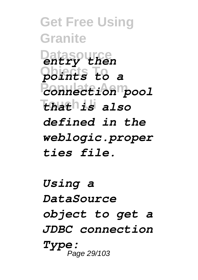**Get Free Using Granite Datasource** *entry then* **Objects To** *points to a* **Populate Aem** *connection pool* **Touch Ui** *that is also defined in the weblogic.proper ties file.*

*Using a DataSource object to get a JDBC connection Type:* Page 29/103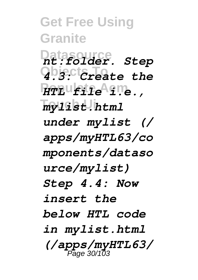**Get Free Using Granite Datasource** *nt:folder. Step* **Objects To** *4.3: Create the* **Populate Aem** *HTL file i.e.,* **Touch Ui** *mylist.html under mylist (/ apps/myHTL63/co mponents/dataso urce/mylist) Step 4.4: Now insert the below HTL code in mylist.html (/apps/myHTL63/* Page 30/103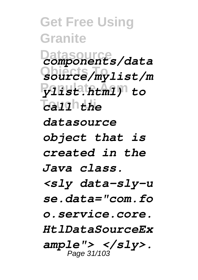**Get Free Using Granite Datasource** *components/data* **Objects To** *source/mylist/m* **Populate Aem** *ylist.html) to* **Touch Ui** *call the datasource object that is created in the Java class. <sly data-sly-u se.data="com.fo o.service.core. HtlDataSourceEx ample"> </sly>.* Page 31/103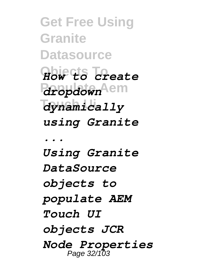**Get Free Using Granite Datasource Objects To** *How to create* **Populate Aem** *dropdown* **Touch Ui** *dynamically using Granite ... Using Granite DataSource objects to populate AEM Touch UI objects JCR Node Properties* Page 32/103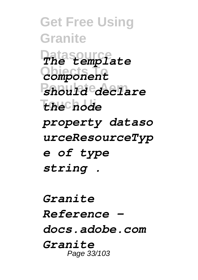**Get Free Using Granite Datasource** *The template* **Objects To** *component* **Populate Aem** *should declare* **Touch Ui** *the node property dataso urceResourceTyp e of type string .*

*Granite Reference docs.adobe.com Granite* Page 33/103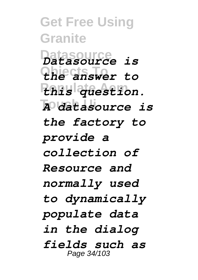**Get Free Using Granite Datasource** *Datasource is* **Objects To** *the answer to* **Populate Aem** *this question.* **Touch Ui** *A datasource is the factory to provide a collection of Resource and normally used to dynamically populate data in the dialog fields such as* Page 34/103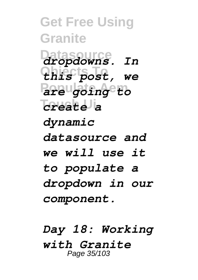**Get Free Using Granite Datasource** *dropdowns. In* **Objects To** *this post, we* **Populate Aem** *are going to* **Touch Ui** *create a dynamic datasource and we will use it to populate a dropdown in our component.*

*Day 18: Working with Granite* Page 35/103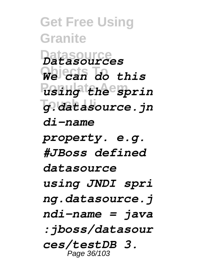**Get Free Using Granite Datasource** *Datasources* **Objects To** *We can do this* **Populate Aem** *using the sprin* **Touch Ui** *g.datasource.jn di-name property. e.g. #JBoss defined datasource using JNDI spri ng.datasource.j ndi-name = java :jboss/datasour ces/testDB 3.* Page 36/103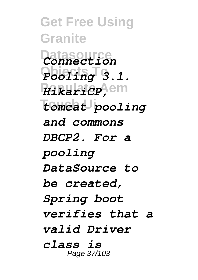**Get Free Using Granite Datasource** *Connection* **Objects To** *Pooling 3.1.* **Populate Aem** *HikariCP,* **Touch Ui** *tomcat pooling and commons DBCP2. For a pooling DataSource to be created, Spring boot verifies that a valid Driver class is* Page 37/103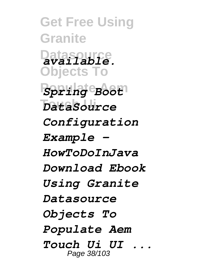**Get Free Using Granite Datasource** *available.* **Objects To Populate Aem** *Spring Boot* **Touch Ui** *DataSource Configuration Example - HowToDoInJava Download Ebook Using Granite Datasource Objects To Populate Aem Touch Ui UI ...* Page 38/103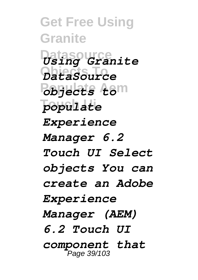**Get Free Using Granite Datasource** *Using Granite* **Objects To** *DataSource* **Populate Aem** *objects to* **Touch Ui** *populate Experience Manager 6.2 Touch UI Select objects You can create an Adobe Experience Manager (AEM) 6.2 Touch UI component that* Page 39/103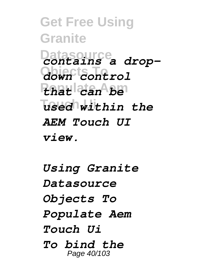**Get Free Using Granite Datasource** *contains a drop-***Objects To** *down control* **Populate Aem** *that can be*  $\sqrt{\text{u}}$ sed within the *AEM Touch UI view.*

*Using Granite Datasource Objects To Populate Aem Touch Ui To bind the* Page 40/103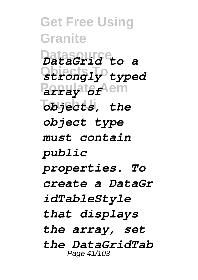**Get Free Using Granite Datasource** *DataGrid to a* **Objects To** *strongly typed* **Populate Aem** *array of*  $\overline{obj}$ ects, the *object type must contain public properties. To create a DataGr idTableStyle that displays the array, set the DataGridTab* Page 41/103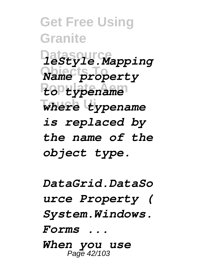**Get Free Using Granite Datasource** *leStyle.Mapping* **Objects To** *Name property* **Populate Aem** *to typename* **Touch Ui** *where typename is replaced by the name of the object type.*

*DataGrid.DataSo urce Property ( System.Windows. Forms ...*

*When you use* Page 42/103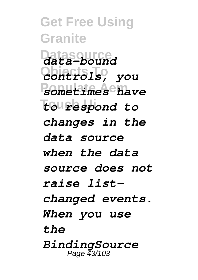**Get Free Using Granite Datasource** *data-bound* **Objects To** *controls, you* **Populate Aem** *sometimes have* **Touch Ui** *to respond to changes in the data source when the data source does not raise listchanged events. When you use the BindingSource* Page 43/103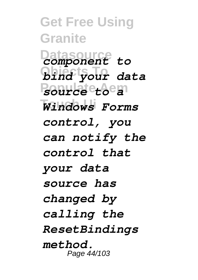**Get Free Using Granite Datasource** *component to* **Objects To** *bind your data* **Populate Aem** *source to a* **Touch Ui** *Windows Forms control, you can notify the control that your data source has changed by calling the ResetBindings method.* Page 44/103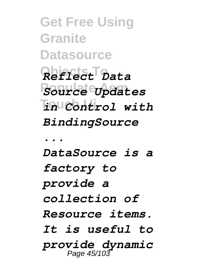**Get Free Using Granite Datasource Objects To** *Reflect Data* **Populate Aem** *Source Updates* **Touch Ui** *in Control with BindingSource*

*...*

*DataSource is a factory to provide a collection of Resource items. It is useful to provide dynamic* Page 45/103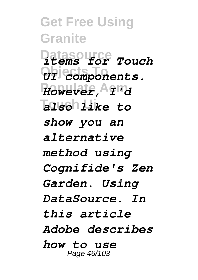**Get Free Using Granite Datasource** *items for Touch*  $\partial f$ <sup>j</sup>ecmponents. **Populate Aem** *However, I'd* **Touch Ui** *also like to show you an alternative method using Cognifide's Zen Garden. Using DataSource. In this article Adobe describes how to use* Page 46/103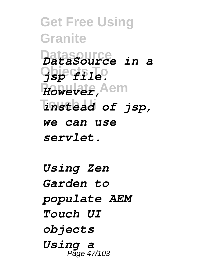**Get Free Using Granite Datasource** *DataSource in a* **Objects To** *jsp file.* **Populate Aem** *However,* **Touch Ui** *instead of jsp, we can use servlet.*

*Using Zen Garden to populate AEM Touch UI objects Using a* Page 47/103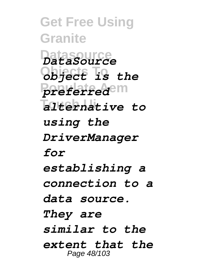**Get Free Using Granite Datasource** *DataSource* **Objects To** *object is the preferred***em Touch Ui** *alternative to using the DriverManager for establishing a connection to a data source. They are similar to the extent that the* Page 48/103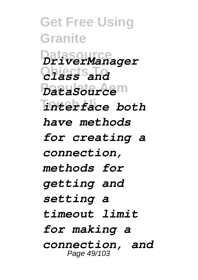**Get Free Using Granite Datasource** *DriverManager* **Objects To** *class and* **Populate Aem** *DataSource* **Touch Ui** *interface both have methods for creating a connection, methods for getting and setting a timeout limit for making a connection, and* Page 49/103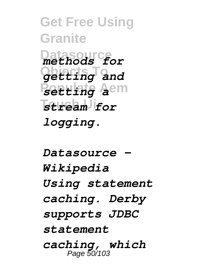**Get Free Using Granite Datasource** *methods for* **Objects To** *getting and* **Populate Aem** *setting a* **Touch Ui** *stream for logging.*

*Datasource - Wikipedia Using statement caching. Derby supports JDBC statement caching, which* Page 50/103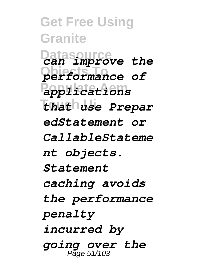**Get Free Using Granite Datasource** *can improve the* **Objects To** *performance of* **Populate Aem** *applications* **Touch Ui** *that use Prepar edStatement or CallableStateme nt objects. Statement caching avoids the performance penalty incurred by going over the* Page 51/103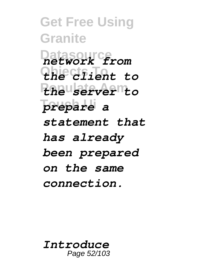**Get Free Using Granite Datasource** *network from* **Objects To** *the client to* **Populate Aem** *the server to* **Touch Ui** *prepare a statement that has already been prepared on the same connection.*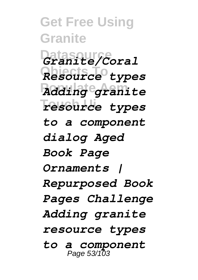**Get Free Using Granite** Datasour*ce*<br>Granite/Coral **Objects To** *Resource types* **Populate Aem** *Adding granite*  $T$ esource types *to a component dialog Aged Book Page Ornaments | Repurposed Book Pages Challenge Adding granite resource types to a component* Page 53/103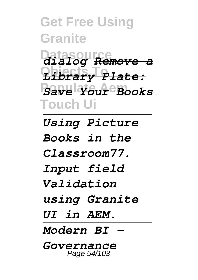**Get Free Using Granite Datasource** *dialog Remove a* **Objects To** *Library Plate:* **Populate Aem** *Save Your Books* **Touch Ui**

*Using Picture Books in the Classroom77. Input field Validation using Granite UI in AEM. Modern BI - Governance* Page 54/103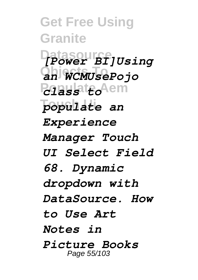**Get Free Using Granite Datasource** *[Power BI]Using* **Objects To** *an WCMUsePojo* **Populate Aem** *class to* populate an *Experience Manager Touch UI Select Field 68. Dynamic dropdown with DataSource. How to Use Art Notes in Picture Books*  Page 55/103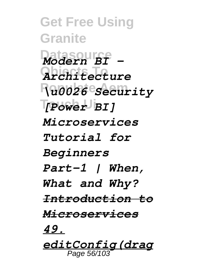**Get Free Using Granite**  $\n *Modern BI* -\n$ **Objects To** *Architecture* **Populate Aem** *\u0026 Security* **Touch Ui** *[Power BI] Microservices Tutorial for Beginners Part-1 | When, What and Why? Introduction to Microservices 49. editConfig(drag* Page 56/103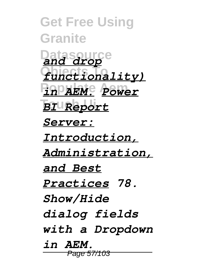**Get Free Using Granite Datasource** *and drop* **Objects To** *functionality)* **Populate Aem** *in AEM. Power* **Touch Ui** *BI Report Server: Introduction, Administration, and Best Practices 78. Show/Hide dialog fields with a Dropdown in AEM.* Page 57/103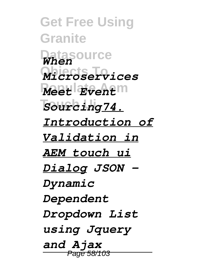**Get Free Using Granite Datasource** *When* **Objects To** *Microservices* **Populate Aem** *Meet Event*  $Sourceing74.$ *Introduction of Validation in AEM touch ui Dialog JSON - Dynamic Dependent Dropdown List using Jquery and Ajax* Page 58/103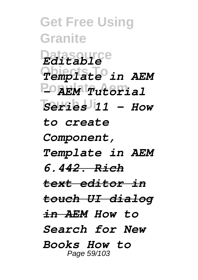**Get Free Using Granite Datasource** *Editable* **Objects To** *Template in AEM* **Populate Aem** *- AEM Tutorial* **Touch Ui** *Series 11 - How to create Component, Template in AEM 6.442. Rich text editor in touch UI dialog in AEM How to Search for New Books How to* Page 59/103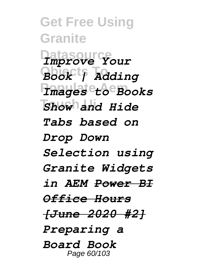**Get Free Using Granite Datasource** *Improve Your* **Objects To** *Book | Adding* **Populate Aem** *Images to Books* **Touch Ui** *Show and Hide Tabs based on Drop Down Selection using Granite Widgets in AEM Power BI Office Hours [June 2020 #2] Preparing a Board Book* Page 60/103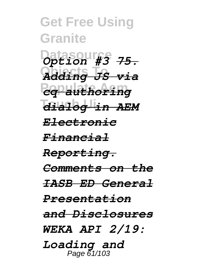**Get Free Using Granite Datasour**<sup>8</sup> 75. **Objects To** *Adding JS via* **Populate Aem** *cq authoring* **Touch Ui** *dialog in AEM Electronic Financial Reporting. Comments on the IASB ED General Presentation and Disclosures WEKA API 2/19: Loading and* Page 61/103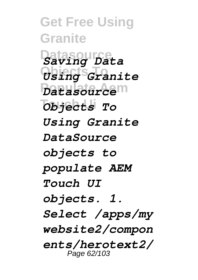**Get Free Using Granite Datasource** *Saving Data* **Objects To** *Using Granite* **Populate Aem** *Datasource* **Touch Ui** *Objects To Using Granite DataSource objects to populate AEM Touch UI objects. 1. Select /apps/my website2/compon ents/herotext2/* Page 62/103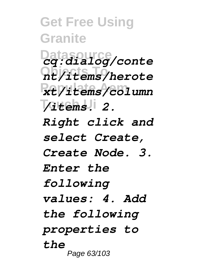**Get Free Using Granite Datasource** *cq:dialog/conte* **Objects To** *nt/items/herote* **Populate Aem** *xt/items/column* **Touch Ui** */items. 2. Right click and select Create, Create Node. 3. Enter the following values: 4. Add the following properties to the* Page 63/103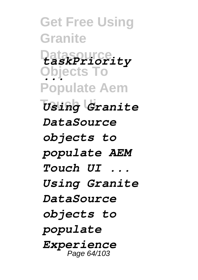**Get Free Using Granite Datasource** *taskPriority* **Objects To** *...* **Populate Aem Touch Ui** *Using Granite DataSource objects to populate AEM Touch UI ... Using Granite DataSource objects to populate Experience* Page 64/103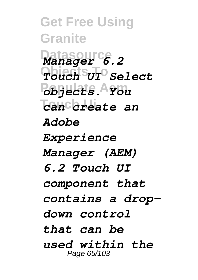**Get Free Using Granite Datasource** *Manager 6.2* **Objects To** *Touch UI Select* **Populate Aem** *objects. You* **Touch Ui** *can create an Adobe Experience Manager (AEM) 6.2 Touch UI component that contains a dropdown control that can be used within the* Page 65/103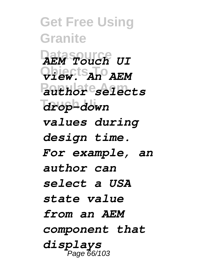**Get Free Using Granite Datasource** *AEM Touch UI* **Objects To** *view. An AEM* **Populate Aem** *author selects* **Touch Ui** *drop-down values during design time. For example, an author can select a USA state value from an AEM component that displays* Page 66/103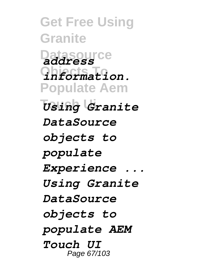**Get Free Using Granite Datasource** *address* **Objects To** *information.* **Populate Aem Touch Ui** *Using Granite DataSource objects to populate Experience ... Using Granite DataSource objects to populate AEM Touch UI* Page 67/103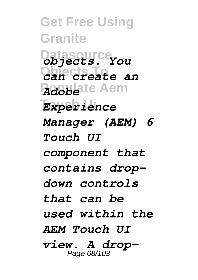**Get Free Using Granite Datasource** *objects. You* **Objects To** *can create an* **Adobeite Aem Touch Ui** *Experience Manager (AEM) 6 Touch UI component that contains dropdown controls that can be used within the AEM Touch UI view. A drop-*Page 68/103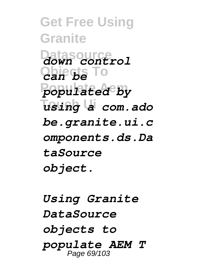**Get Free Using Granite Datasource** *down control* **Objects To** *can be* **Populate Aem** *populated by* **Touch Ui** *using a com.ado be.granite.ui.c omponents.ds.Da taSource object.*

*Using Granite DataSource objects to populate AEM T* Page 69/103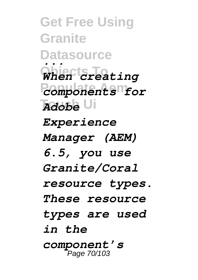**Get Free Using Granite Datasource Objects To Populate Aem** *components for Adobe* Ui *... When creating Experience Manager (AEM) 6.5, you use Granite/Coral resource types. These resource types are used in the component's* Page 70/103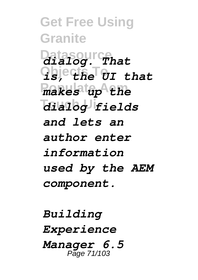**Get Free Using Granite** Datasourcehat  $q$ **b**jecthe U<sub>I</sub> that **Populate Aem** *makes up the* **Touch Ui** *dialog fields and lets an author enter information used by the AEM component.*

*Building Experience Manager 6.5* Page 71/103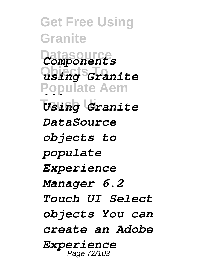**Get Free Using Granite Datasource** *Components* **Objects To** *using Granite* **Populate Aem** *...* **Touch Ui** *Using Granite DataSource objects to populate Experience Manager 6.2 Touch UI Select objects You can create an Adobe Experience* Page 72/103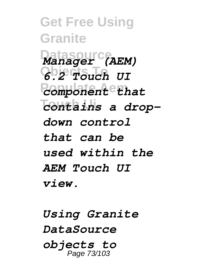**Get Free Using Granite Datasource** *Manager (AEM)* **Objects To** *6.2 Touch UI* **Populate Aem** *component that* **Touch Ui** *contains a dropdown control that can be used within the AEM Touch UI view.*

*Using Granite DataSource objects to* Page 73/103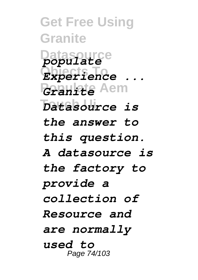**Get Free Using Granite Datasource** *populate* **Objects To** *Experience ...* **Populate Aem** *Granite* **Touch Ui** *Datasource is the answer to this question. A datasource is the factory to provide a collection of Resource and are normally used to* Page 74/103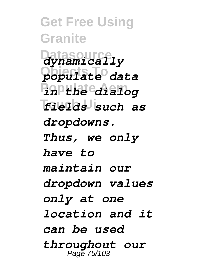**Get Free Using Granite Datasource** *dynamically* **Objects To** *populate data* **Populate Aem** *in the dialog* **Touch Ui** *fields such as dropdowns. Thus, we only have to maintain our dropdown values only at one location and it can be used throughout our* Page 75/103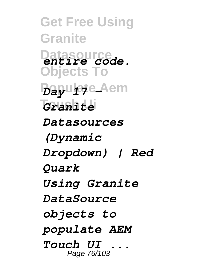**Get Free Using Granite Datasource** *entire code.* **Objects To** *Bayu lete\_Aem* **Touch Ui** *Granite Datasources (Dynamic Dropdown) | Red Quark Using Granite DataSource objects to populate AEM Touch UI ...* Page 76/103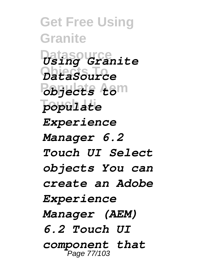**Get Free Using Granite Datasource** *Using Granite* **Objects To** *DataSource* **Populate Aem** *objects to* **Touch Ui** *populate Experience Manager 6.2 Touch UI Select objects You can create an Adobe Experience Manager (AEM) 6.2 Touch UI component that* Page 77/103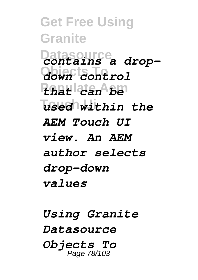**Get Free Using Granite Datasource** *contains a drop-***Objects To** *down control* **Populate Aem** *that can be*  $\sqrt{\text{u}}$ sed within the *AEM Touch UI view. An AEM author selects drop-down values*

*Using Granite Datasource Objects To* Page 78/103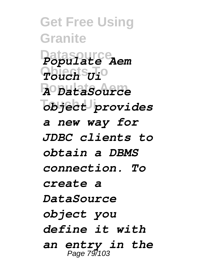**Get Free Using Granite Datasource** *Populate Aem* **Objects To** *Touch Ui* **Populate Aem** *A DataSource*  $\overline{\text{objedt}}$  provides *a new way for JDBC clients to obtain a DBMS connection. To create a DataSource object you define it with an entry in the* Page 79/103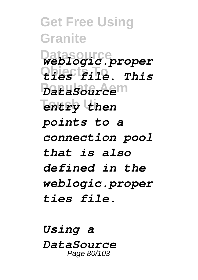**Get Free Using Granite Datasource** *weblogic.proper* **Objects To** *ties file. This* **Populate Aem** *DataSource* **Touch Ui** *entry then points to a connection pool that is also defined in the weblogic.proper ties file.*

*Using a DataSource* Page 80/103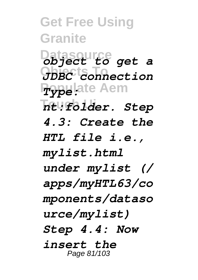**Get Free Using Granite Datasource** *object to get a* **Objects To** *JDBC connection* **Pypelate Aem Touch Ui** *nt:folder. Step 4.3: Create the HTL file i.e., mylist.html under mylist (/ apps/myHTL63/co mponents/dataso urce/mylist) Step 4.4: Now insert the* Page 81/103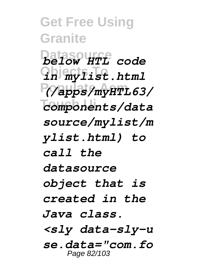**Get Free Using Granite Datasourff** code  $\Omega$ *h* i<sub>my</sub><sup>*fist.html*</sup> **Populate Aem** *(/apps/myHTL63/* **Touch Ui** *components/data source/mylist/m ylist.html) to call the datasource object that is created in the Java class. <sly data-sly-u se.data="com.fo* Page 82/103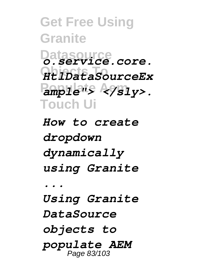**Get Free Using Granite Datasource** *o.service.core.* **Objects To** *HtlDataSourceEx* Pampile<sup>nts</sup> A9Sly>. **Touch Ui**

*How to create dropdown dynamically using Granite*

*... Using Granite DataSource objects to populate AEM* Page 83/103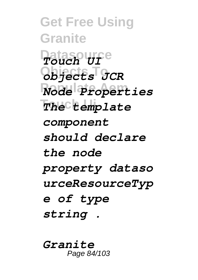**Get Free Using Granite Datasource** *Touch UI* **Objects To** *objects JCR* **Populate Aem** *Node Properties* **Touch Ui** *The template component should declare the node property dataso urceResourceTyp e of type string .*

*Granite* Page 84/103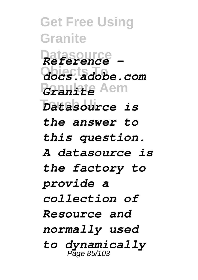**Get Free Using Granite Datasource** *Reference -* **Objects To** *docs.adobe.com* **Populate Aem** *Granite* **Touch Ui** *Datasource is the answer to this question. A datasource is the factory to provide a collection of Resource and normally used to dynamically* Page 85/103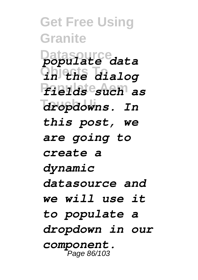**Get Free Using Granite Datasource** *populate data* **Objects To** *in the dialog* **Populate Aem** *fields such as*  $d$ *ropdowns.* In *this post, we are going to create a dynamic datasource and we will use it to populate a dropdown in our component.* Page 86/103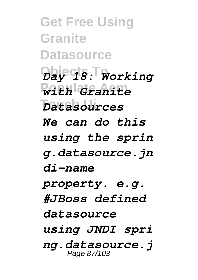**Get Free Using Granite Datasource Objects To** *Day 18: Working* **Populate Aem** *with Granite* **Touch Ui** *Datasources We can do this using the sprin g.datasource.jn di-name property. e.g. #JBoss defined datasource using JNDI spri ng.datasource.j* Page 87/103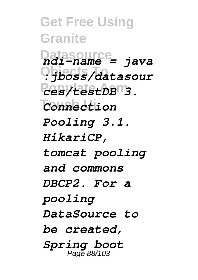**Get Free Using Granite Datasource** *ndi-name = java* **Objects To** *:jboss/datasour* **Populate Aem** *ces/testDB 3.* **Touch Ui** *Connection Pooling 3.1. HikariCP, tomcat pooling and commons DBCP2. For a pooling DataSource to be created, Spring boot* Page 88/103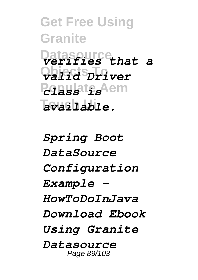**Get Free Using Granite Datasource** *verifies that a* **Objects To** *valid Driver* **Populate Aem** *class is*  $a$ vailable.

*Spring Boot DataSource Configuration Example - HowToDoInJava Download Ebook Using Granite Datasource* Page 89/103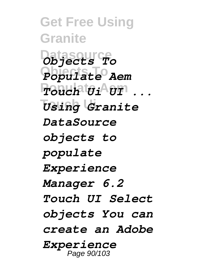**Get Free Using Granite Datasource** *Objects To* **Objects To** *Populate Aem* **Populate Aem** *Touch Ui UI ...* **Touch Ui** *Using Granite DataSource objects to populate Experience Manager 6.2 Touch UI Select objects You can create an Adobe Experience* Page 90/103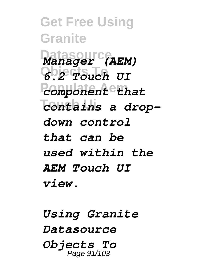**Get Free Using Granite Datasource** *Manager (AEM)* **Objects To** *6.2 Touch UI* **Populate Aem** *component that* **Touch Ui** *contains a dropdown control that can be used within the AEM Touch UI view.*

*Using Granite Datasource Objects To* Page 91/103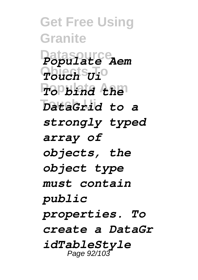**Get Free Using Granite Datasource** *Populate Aem* **Objects To** *Touch Ui* **Populate Aem** *To bind the* **Touch Ui** *DataGrid to a strongly typed array of objects, the object type must contain public properties. To create a DataGr idTableStyle* Page 92/103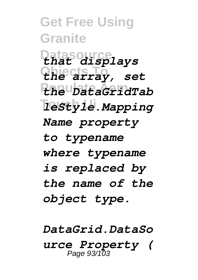**Get Free Using Granite Datasource** *that displays* **Objects To** *the array, set* **Populate Aem** *the DataGridTab*  $\overline{\text{let}}$ *yle.Mapping Name property to typename where typename is replaced by the name of the object type.*

*DataGrid.DataSo urce Property (* Page 93/103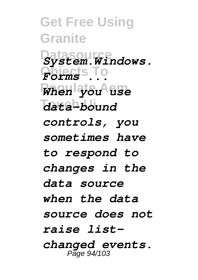**Get Free Using Granite DatasourGeneral Objects To** *Forms ...* **Populate Aem** *When you use* **Touch Ui** *data-bound controls, you sometimes have to respond to changes in the data source when the data source does not raise listchanged events.* Page 94/103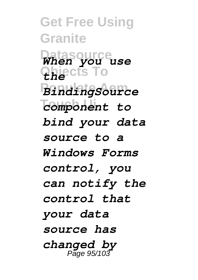**Get Free Using Granite Datasource** *When you use* **Objects To** *the* **Populate Aem** *BindingSource* **Touch Ui** *component to bind your data source to a Windows Forms control, you can notify the control that your data source has changed by* Page 95/103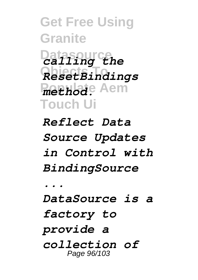**Get Free Using Granite Datasource** *calling the* **Objects To** *ResetBindings Poethode* Aem **Touch Ui** *Reflect Data*

*Source Updates in Control with BindingSource*

*... DataSource is a factory to provide a collection of* Page 96/103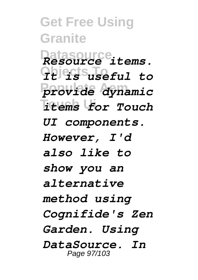**Get Free Using Granite Datasource** *Resource items.* **Objects To** *It is useful to* **Populate Aem** *provide dynamic* **Touch Ui** *items for Touch UI components. However, I'd also like to show you an alternative method using Cognifide's Zen Garden. Using DataSource. In* Page 97/103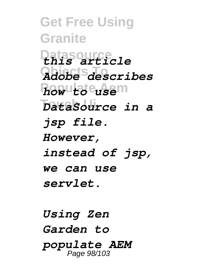**Get Free Using Granite Datasource** *this article* **Objects To** *Adobe describes* **Populate Aem** *how to use* **Touch Ui** *DataSource in a jsp file. However, instead of jsp, we can use servlet.*

*Using Zen Garden to populate AEM* Page 98/103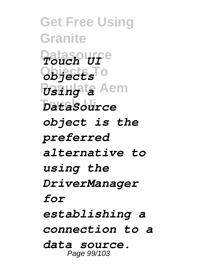**Get Free Using Granite Datasource** *Touch UI* **Objects To** *objects Populate* Aem **Touch Ui** *DataSource object is the preferred alternative to using the DriverManager for establishing a connection to a data source.* Page 99/103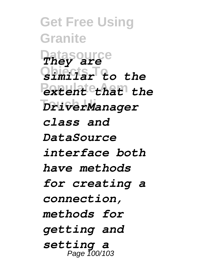**Get Free Using Granite Datasource** *They are* **Objects To** *similar to the* **Populate Aem** *extent that the DriverManager class and DataSource interface both have methods for creating a connection, methods for getting and setting a* Page 100/103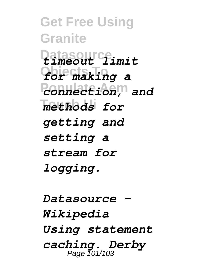**Get Free Using Granite Datasource** *timeout limit* **Objects To** *for making a* **Populate Aem** *connection, and*  $methods$  for *getting and setting a stream for logging.*

*Datasource - Wikipedia Using statement caching. Derby* Page 101/103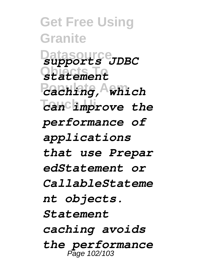**Get Free Using Granite Datasource** *supports JDBC* **Objects To** *statement* **Populate Aem** *caching, which*  $\overline{C}$ an improve the *performance of applications that use Prepar edStatement or CallableStateme nt objects. Statement caching avoids the performance* Page 102/103